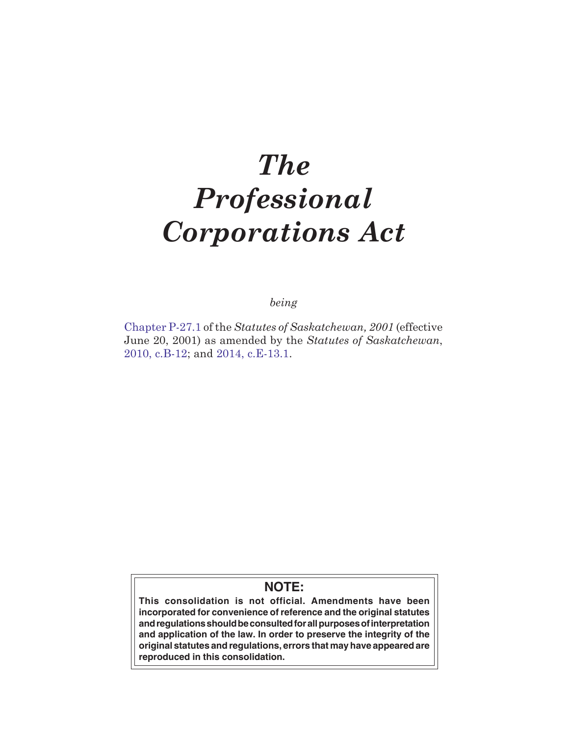# *The Professional Corporations Act*

*being*

[Chapter P-27.1](http://www.qp.gov.sk.ca/documents/english/chapters/2001/P27-1.pdf) of the *Statutes of Saskatchewan, 2001* (effective June 20, 2001) as amended by the *Statutes of Saskatchewan*, [2010, c.B-12;](http://www.qp.gov.sk.ca/documents/english/Chapters/2010/B12.pdf) and [2014, c.E-13.1](http://www.qp.gov.sk.ca/documents/english/Chapters/2014/E13-1.pdf).

# **NOTE:**

**This consolidation is not official. Amendments have been incorporated for convenience of reference and the original statutes and regulations should be consulted for all purposes of interpretation and application of the law. In order to preserve the integrity of the original statutes and regulations, errors that may have appeared are reproduced in this consolidation.**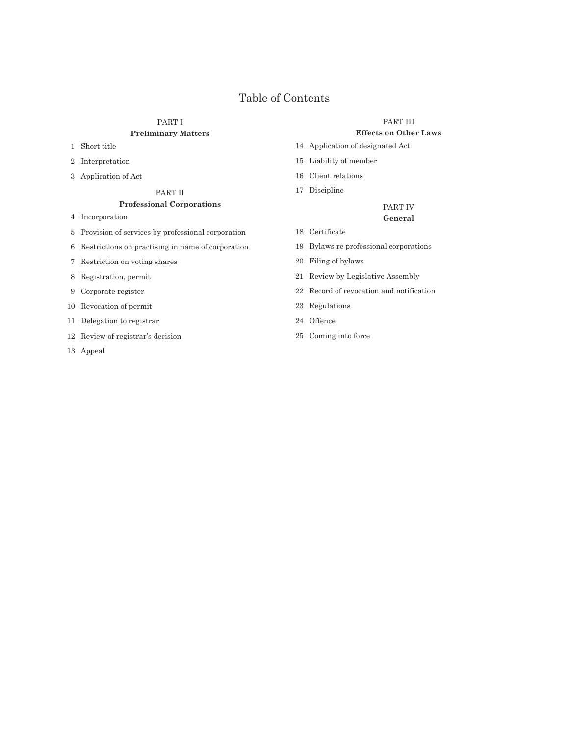# Table of Contents

# PART I **Preliminary Matters**

- 1 Short title
- 2 Interpretation
- 3 Application of Act

#### PART II

# **Professional Corporations**

- 4 Incorporation
- 5 Provision of services by professional corporation
- 6 Restrictions on practising in name of corporation
- 7 Restriction on voting shares
- 8 Registration, permit
- 9 Corporate register
- 10 Revocation of permit
- 11 Delegation to registrar
- 12 Review of registrar's decision
- 13 Appeal

#### PART III

# **Effects on Other Laws**

- 14 Application of designated Act
- 15 Liability of member
- 16 Client relations
- 17 Discipline

## PART IV **General**

- 18 Certificate
- 19 Bylaws re professional corporations
- 20 Filing of bylaws
- 21 Review by Legislative Assembly
- 22 Record of revocation and notification
- 23 Regulations
- 24 Offence
- 25 Coming into force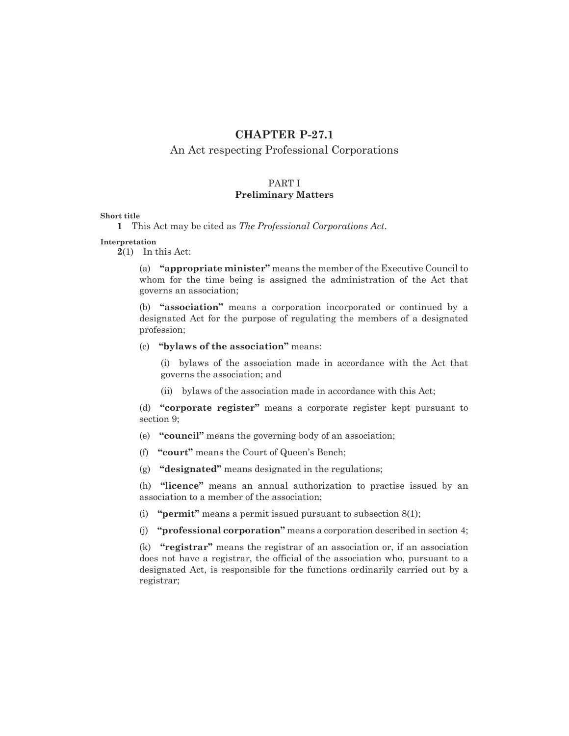# **CHAPTER P-27.1**

# An Act respecting Professional Corporations

# PART I **Preliminary Matters**

#### **Short title**

**1** This Act may be cited as *The Professional Corporations Act*.

**Interpretation**

**2**(1) In this Act:

(a) **"appropriate minister"** means the member of the Executive Council to whom for the time being is assigned the administration of the Act that governs an association;

(b) **"association"** means a corporation incorporated or continued by a designated Act for the purpose of regulating the members of a designated profession;

# (c) **"bylaws of the association"** means:

(i) bylaws of the association made in accordance with the Act that governs the association; and

(ii) bylaws of the association made in accordance with this Act;

(d) **"corporate register"** means a corporate register kept pursuant to section 9;

(e) **"council"** means the governing body of an association;

(f) **"court"** means the Court of Queen's Bench;

(g) **"designated"** means designated in the regulations;

(h) **"licence"** means an annual authorization to practise issued by an association to a member of the association;

(i) **"permit"** means a permit issued pursuant to subsection 8(1);

(j) **"professional corporation"** means a corporation described in section 4;

(k) **"registrar"** means the registrar of an association or, if an association does not have a registrar, the official of the association who, pursuant to a designated Act, is responsible for the functions ordinarily carried out by a registrar;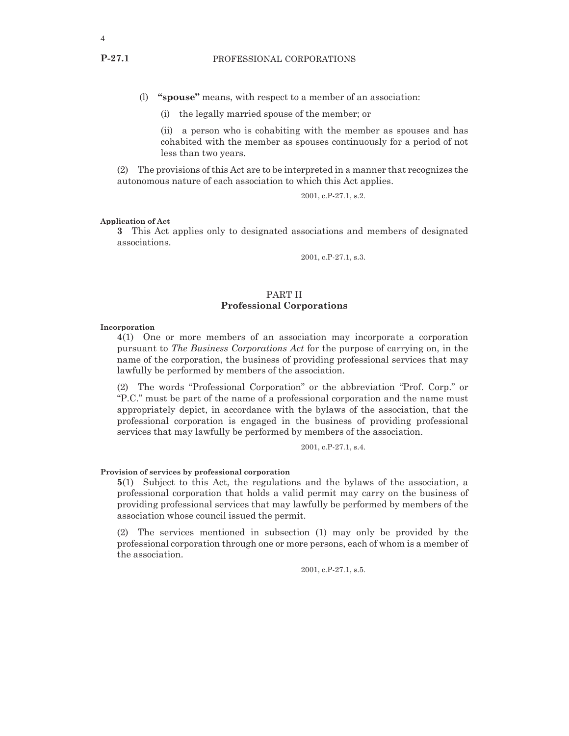- (l) **"spouse"** means, with respect to a member of an association:
	- (i) the legally married spouse of the member; or

(ii) a person who is cohabiting with the member as spouses and has cohabited with the member as spouses continuously for a period of not less than two years.

(2) The provisions of this Act are to be interpreted in a manner that recognizes the autonomous nature of each association to which this Act applies.

2001, c.P-27.1, s.2.

#### **Application of Act**

**3** This Act applies only to designated associations and members of designated associations.

2001, c.P-27.1, s.3.

# PART II **Professional Corporations**

#### **Incorporation**

**4**(1) One or more members of an association may incorporate a corporation pursuant to *The Business Corporations Act* for the purpose of carrying on, in the name of the corporation, the business of providing professional services that may lawfully be performed by members of the association.

(2) The words "Professional Corporation" or the abbreviation "Prof. Corp." or "P.C." must be part of the name of a professional corporation and the name must appropriately depict, in accordance with the bylaws of the association, that the professional corporation is engaged in the business of providing professional services that may lawfully be performed by members of the association.

2001, c.P-27.1, s.4.

#### **Provision of services by professional corporation**

**5**(1) Subject to this Act, the regulations and the bylaws of the association, a professional corporation that holds a valid permit may carry on the business of providing professional services that may lawfully be performed by members of the association whose council issued the permit.

(2) The services mentioned in subsection (1) may only be provided by the professional corporation through one or more persons, each of whom is a member of the association.

2001, c.P-27.1, s.5.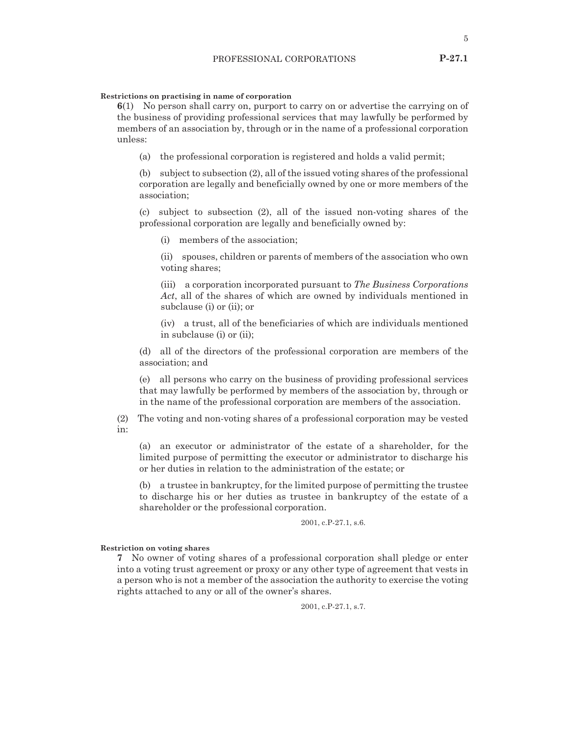#### **Restrictions on practising in name of corporation**

**6**(1) No person shall carry on, purport to carry on or advertise the carrying on of the business of providing professional services that may lawfully be performed by members of an association by, through or in the name of a professional corporation unless:

(a) the professional corporation is registered and holds a valid permit;

(b) subject to subsection (2), all of the issued voting shares of the professional corporation are legally and beneficially owned by one or more members of the association;

(c) subject to subsection (2), all of the issued non-voting shares of the professional corporation are legally and beneficially owned by:

(i) members of the association;

(ii) spouses, children or parents of members of the association who own voting shares;

(iii) a corporation incorporated pursuant to *The Business Corporations Act*, all of the shares of which are owned by individuals mentioned in subclause (i) or (ii); or

(iv) a trust, all of the beneficiaries of which are individuals mentioned in subclause (i) or (ii);

(d) all of the directors of the professional corporation are members of the association; and

(e) all persons who carry on the business of providing professional services that may lawfully be performed by members of the association by, through or in the name of the professional corporation are members of the association.

(2) The voting and non-voting shares of a professional corporation may be vested in:

(a) an executor or administrator of the estate of a shareholder, for the limited purpose of permitting the executor or administrator to discharge his or her duties in relation to the administration of the estate; or

(b) a trustee in bankruptcy, for the limited purpose of permitting the trustee to discharge his or her duties as trustee in bankruptcy of the estate of a shareholder or the professional corporation.

#### 2001, c.P-27.1, s.6.

## **Restriction on voting shares**

**7** No owner of voting shares of a professional corporation shall pledge or enter into a voting trust agreement or proxy or any other type of agreement that vests in a person who is not a member of the association the authority to exercise the voting rights attached to any or all of the owner's shares.

2001, c.P-27.1, s.7.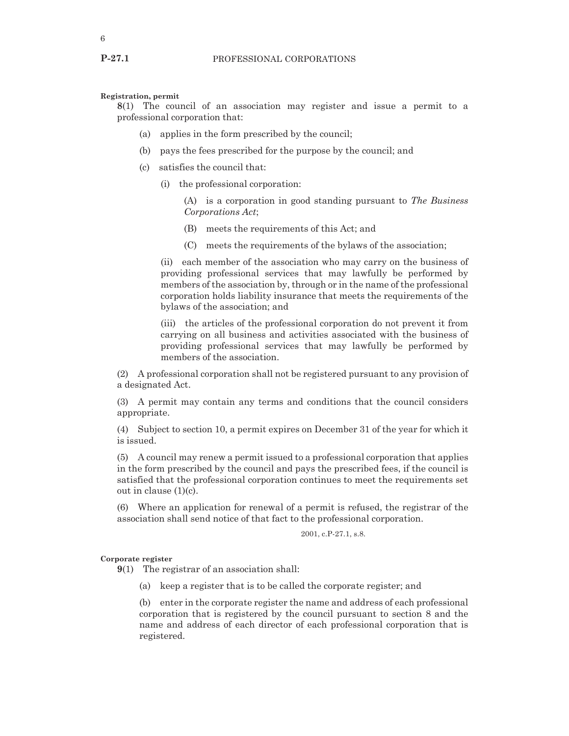**Registration, permit**

**8**(1) The council of an association may register and issue a permit to a professional corporation that:

- (a) applies in the form prescribed by the council;
- (b) pays the fees prescribed for the purpose by the council; and
- (c) satisfies the council that:
	- (i) the professional corporation:
		- (A) is a corporation in good standing pursuant to *The Business Corporations Act*;
		- (B) meets the requirements of this Act; and
		- (C) meets the requirements of the bylaws of the association;

(ii) each member of the association who may carry on the business of providing professional services that may lawfully be performed by members of the association by, through or in the name of the professional corporation holds liability insurance that meets the requirements of the bylaws of the association; and

(iii) the articles of the professional corporation do not prevent it from carrying on all business and activities associated with the business of providing professional services that may lawfully be performed by members of the association.

(2) A professional corporation shall not be registered pursuant to any provision of a designated Act.

(3) A permit may contain any terms and conditions that the council considers appropriate.

(4) Subject to section 10, a permit expires on December 31 of the year for which it is issued.

(5) A council may renew a permit issued to a professional corporation that applies in the form prescribed by the council and pays the prescribed fees, if the council is satisfied that the professional corporation continues to meet the requirements set out in clause (1)(c).

(6) Where an application for renewal of a permit is refused, the registrar of the association shall send notice of that fact to the professional corporation.

2001, c.P-27.1, s.8.

#### **Corporate register**

**9**(1) The registrar of an association shall:

(a) keep a register that is to be called the corporate register; and

(b) enter in the corporate register the name and address of each professional corporation that is registered by the council pursuant to section 8 and the name and address of each director of each professional corporation that is registered.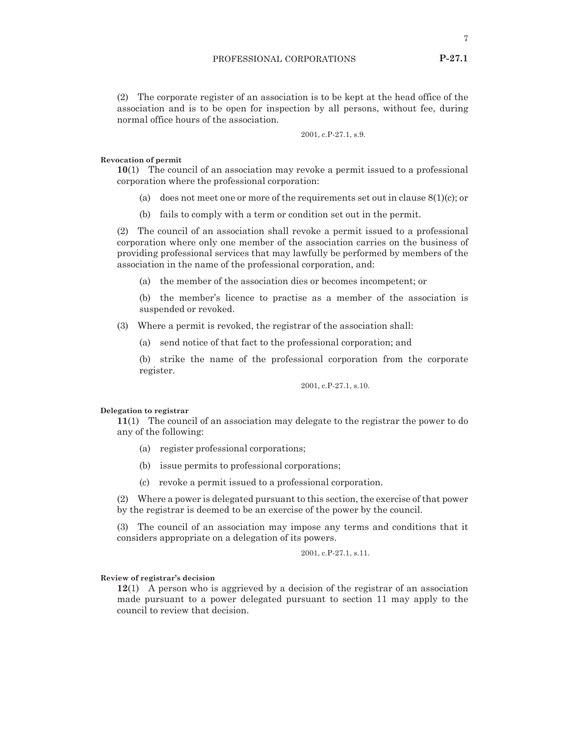(2) The corporate register of an association is to be kept at the head office of the association and is to be open for inspection by all persons, without fee, during normal office hours of the association.

2001, c.P-27.1, s.9.

#### **Revocation of permit**

**10**(1) The council of an association may revoke a permit issued to a professional corporation where the professional corporation:

- (a) does not meet one or more of the requirements set out in clause  $8(1)(c)$ ; or
- (b) fails to comply with a term or condition set out in the permit.

(2) The council of an association shall revoke a permit issued to a professional corporation where only one member of the association carries on the business of providing professional services that may lawfully be performed by members of the association in the name of the professional corporation, and:

(a) the member of the association dies or becomes incompetent; or

(b) the member's licence to practise as a member of the association is suspended or revoked.

(3) Where a permit is revoked, the registrar of the association shall:

(a) send notice of that fact to the professional corporation; and

(b) strike the name of the professional corporation from the corporate register.

2001, c.P-27.1, s.10.

#### **Delegation to registrar**

**11**(1) The council of an association may delegate to the registrar the power to do any of the following:

- (a) register professional corporations;
- (b) issue permits to professional corporations;
- (c) revoke a permit issued to a professional corporation.

(2) Where a power is delegated pursuant to this section, the exercise of that power by the registrar is deemed to be an exercise of the power by the council.

(3) The council of an association may impose any terms and conditions that it considers appropriate on a delegation of its powers.

2001, c.P-27.1, s.11.

#### **Review of registrar's decision**

**12**(1) A person who is aggrieved by a decision of the registrar of an association made pursuant to a power delegated pursuant to section 11 may apply to the council to review that decision.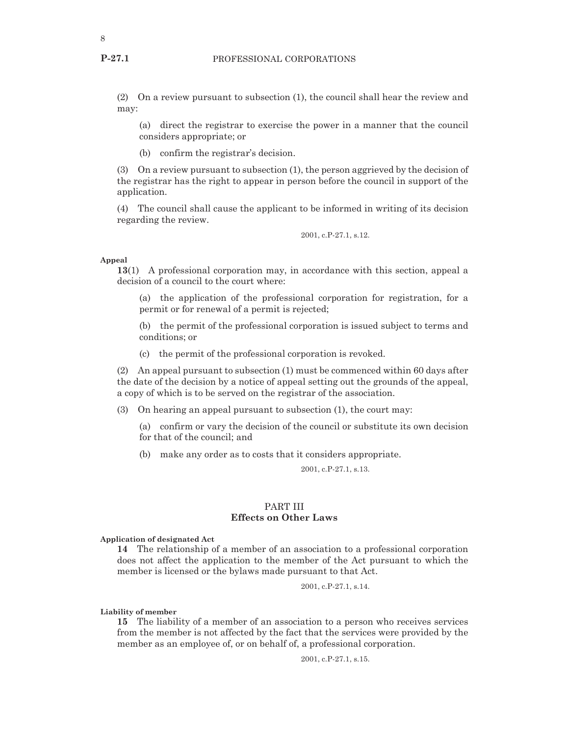(2) On a review pursuant to subsection (1), the council shall hear the review and may:

(a) direct the registrar to exercise the power in a manner that the council considers appropriate; or

(b) confirm the registrar's decision.

(3) On a review pursuant to subsection (1), the person aggrieved by the decision of the registrar has the right to appear in person before the council in support of the application.

(4) The council shall cause the applicant to be informed in writing of its decision regarding the review.

2001, c.P-27.1, s.12.

#### **Appeal**

**13**(1) A professional corporation may, in accordance with this section, appeal a decision of a council to the court where:

(a) the application of the professional corporation for registration, for a permit or for renewal of a permit is rejected;

(b) the permit of the professional corporation is issued subject to terms and conditions; or

(c) the permit of the professional corporation is revoked.

(2) An appeal pursuant to subsection (1) must be commenced within 60 days after the date of the decision by a notice of appeal setting out the grounds of the appeal, a copy of which is to be served on the registrar of the association.

(3) On hearing an appeal pursuant to subsection (1), the court may:

(a) confirm or vary the decision of the council or substitute its own decision for that of the council; and

(b) make any order as to costs that it considers appropriate.

2001, c.P-27.1, s.13.

# PART III **Effects on Other Laws**

**Application of designated Act**

**14** The relationship of a member of an association to a professional corporation does not affect the application to the member of the Act pursuant to which the member is licensed or the bylaws made pursuant to that Act.

2001, c.P-27.1, s.14.

**Liability of member**

**15** The liability of a member of an association to a person who receives services from the member is not affected by the fact that the services were provided by the member as an employee of, or on behalf of, a professional corporation.

2001, c.P-27.1, s.15.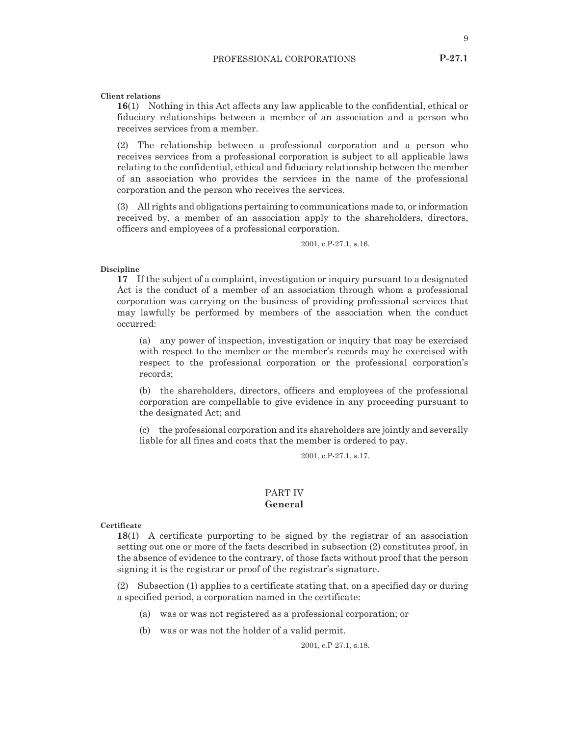9

**Client relations**

**16**(1) Nothing in this Act affects any law applicable to the confidential, ethical or fiduciary relationships between a member of an association and a person who receives services from a member.

(2) The relationship between a professional corporation and a person who receives services from a professional corporation is subject to all applicable laws relating to the confidential, ethical and fiduciary relationship between the member of an association who provides the services in the name of the professional corporation and the person who receives the services.

(3) All rights and obligations pertaining to communications made to, or information received by, a member of an association apply to the shareholders, directors, officers and employees of a professional corporation.

2001, c.P-27.1, s.16.

#### **Discipline**

**17** If the subject of a complaint, investigation or inquiry pursuant to a designated Act is the conduct of a member of an association through whom a professional corporation was carrying on the business of providing professional services that may lawfully be performed by members of the association when the conduct occurred:

(a) any power of inspection, investigation or inquiry that may be exercised with respect to the member or the member's records may be exercised with respect to the professional corporation or the professional corporation's records;

(b) the shareholders, directors, officers and employees of the professional corporation are compellable to give evidence in any proceeding pursuant to the designated Act; and

(c) the professional corporation and its shareholders are jointly and severally liable for all fines and costs that the member is ordered to pay.

2001, c.P-27.1, s.17.

# PART IV **General**

**Certificate**

**18**(1) A certificate purporting to be signed by the registrar of an association setting out one or more of the facts described in subsection (2) constitutes proof, in the absence of evidence to the contrary, of those facts without proof that the person signing it is the registrar or proof of the registrar's signature.

(2) Subsection (1) applies to a certificate stating that, on a specified day or during a specified period, a corporation named in the certificate:

- (a) was or was not registered as a professional corporation; or
- (b) was or was not the holder of a valid permit.

2001, c.P-27.1, s.18.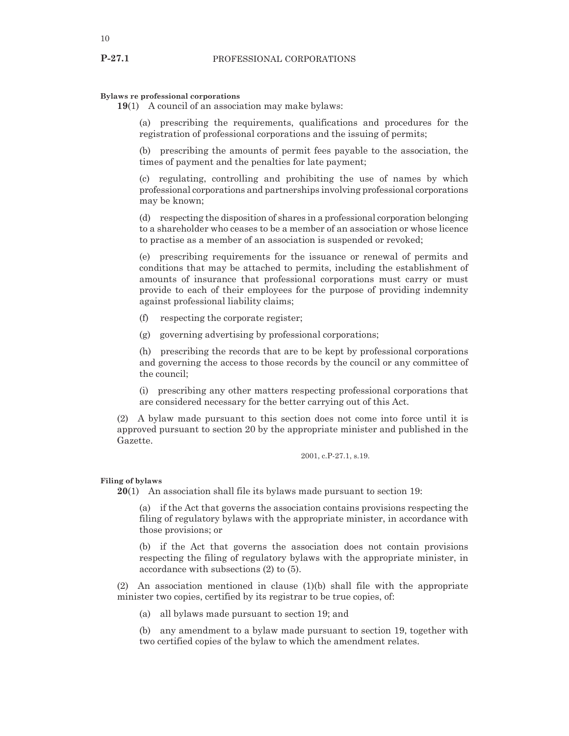#### **Bylaws re professional corporations**

**19**(1) A council of an association may make bylaws:

(a) prescribing the requirements, qualifications and procedures for the registration of professional corporations and the issuing of permits;

(b) prescribing the amounts of permit fees payable to the association, the times of payment and the penalties for late payment;

(c) regulating, controlling and prohibiting the use of names by which professional corporations and partnerships involving professional corporations may be known;

(d) respecting the disposition of shares in a professional corporation belonging to a shareholder who ceases to be a member of an association or whose licence to practise as a member of an association is suspended or revoked;

(e) prescribing requirements for the issuance or renewal of permits and conditions that may be attached to permits, including the establishment of amounts of insurance that professional corporations must carry or must provide to each of their employees for the purpose of providing indemnity against professional liability claims;

- (f) respecting the corporate register;
- (g) governing advertising by professional corporations;

(h) prescribing the records that are to be kept by professional corporations and governing the access to those records by the council or any committee of the council;

(i) prescribing any other matters respecting professional corporations that are considered necessary for the better carrying out of this Act.

(2) A bylaw made pursuant to this section does not come into force until it is approved pursuant to section 20 by the appropriate minister and published in the Gazette.

2001, c.P-27.1, s.19.

#### **Filing of bylaws**

**20**(1) An association shall file its bylaws made pursuant to section 19:

(a) if the Act that governs the association contains provisions respecting the filing of regulatory bylaws with the appropriate minister, in accordance with those provisions; or

(b) if the Act that governs the association does not contain provisions respecting the filing of regulatory bylaws with the appropriate minister, in accordance with subsections (2) to (5).

(2) An association mentioned in clause (1)(b) shall file with the appropriate minister two copies, certified by its registrar to be true copies, of:

(a) all bylaws made pursuant to section 19; and

(b) any amendment to a bylaw made pursuant to section 19, together with two certified copies of the bylaw to which the amendment relates.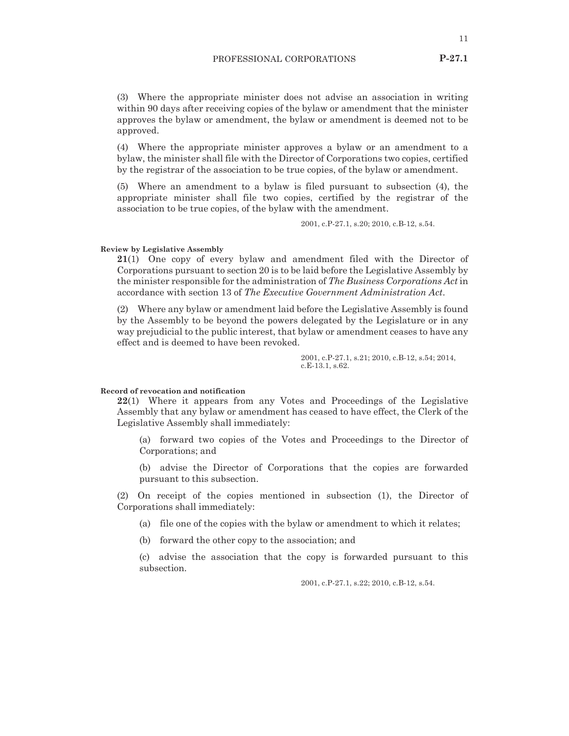(3) Where the appropriate minister does not advise an association in writing within 90 days after receiving copies of the bylaw or amendment that the minister approves the bylaw or amendment, the bylaw or amendment is deemed not to be approved.

(4) Where the appropriate minister approves a bylaw or an amendment to a bylaw, the minister shall file with the Director of Corporations two copies, certified by the registrar of the association to be true copies, of the bylaw or amendment.

(5) Where an amendment to a bylaw is filed pursuant to subsection (4), the appropriate minister shall file two copies, certified by the registrar of the association to be true copies, of the bylaw with the amendment.

2001, c.P-27.1, s.20; 2010, c.B-12, s.54.

#### **Review by Legislative Assembly**

**21**(1) One copy of every bylaw and amendment filed with the Director of Corporations pursuant to section 20 is to be laid before the Legislative Assembly by the minister responsible for the administration of *The Business Corporations Act* in accordance with section 13 of *The Executive Government Administration Act*.

(2) Where any bylaw or amendment laid before the Legislative Assembly is found by the Assembly to be beyond the powers delegated by the Legislature or in any way prejudicial to the public interest, that bylaw or amendment ceases to have any effect and is deemed to have been revoked.

> 2001, c.P-27.1, s.21; 2010, c.B-12, s.54; 2014, c.E-13.1, s.62.

#### **Record of revocation and notification**

**22**(1) Where it appears from any Votes and Proceedings of the Legislative Assembly that any bylaw or amendment has ceased to have effect, the Clerk of the Legislative Assembly shall immediately:

(a) forward two copies of the Votes and Proceedings to the Director of Corporations; and

(b) advise the Director of Corporations that the copies are forwarded pursuant to this subsection.

(2) On receipt of the copies mentioned in subsection (1), the Director of Corporations shall immediately:

(a) file one of the copies with the bylaw or amendment to which it relates;

(b) forward the other copy to the association; and

(c) advise the association that the copy is forwarded pursuant to this subsection.

2001, c.P-27.1, s.22; 2010, c.B-12, s.54.